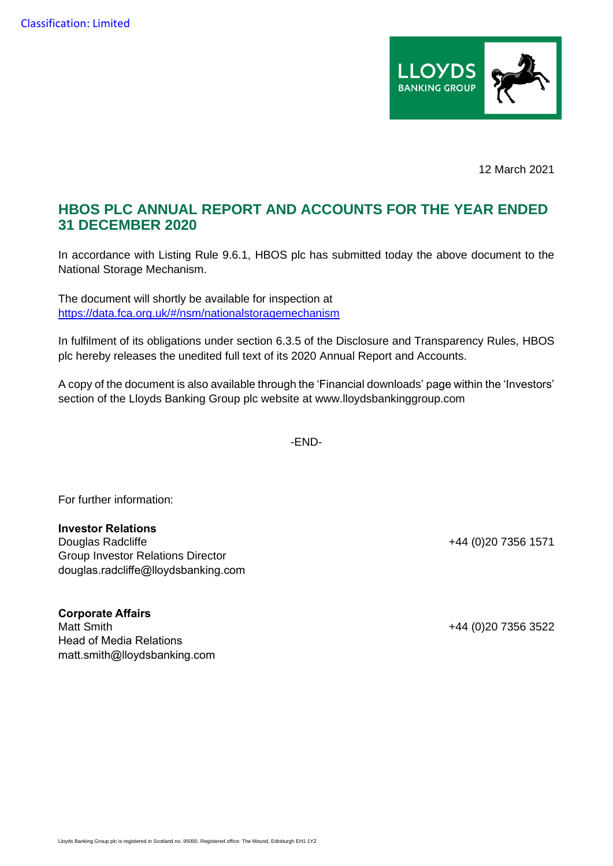

12 March 2021

## **HBOS PLC ANNUAL REPORT AND ACCOUNTS FOR THE YEAR ENDED 31 DECEMBER 2020**

In accordance with Listing Rule 9.6.1, HBOS plc has submitted today the above document to the National Storage Mechanism.

The document will shortly be available for inspection at [https://data.fca.org.uk/#/nsm/nationalstoragemechanism](https://eur02.safelinks.protection.outlook.com/?url=https%3A%2F%2Fdata.fca.org.uk%2F%23%2Fnsm%2Fnationalstoragemechanism&data=04%7C01%7CHannah.Boore%40lloydsbanking.com%7Cf478194d493f4e2a726008d8da6543d3%7C3ded2960214a46ff8cf4611f125e2398%7C0%7C0%7C637499475745921990%7CUnknown%7CTWFpbGZsb3d8eyJWIjoiMC4wLjAwMDAiLCJQIjoiV2luMzIiLCJBTiI6Ik1haWwiLCJXVCI6Mn0%3D%7C1000&sdata=HKhpYPA9fSsjBwiR9NG1EHWMP7vx2WpuAJN%2B%2Fq4Pee0%3D&reserved=0)

In fulfilment of its obligations under section 6.3.5 of the Disclosure and Transparency Rules, HBOS plc hereby releases the unedited full text of its 2020 Annual Report and Accounts.

A copy of the document is also available through the 'Financial downloads' page within the 'Investors' section of the Lloyds Banking Group plc website at www.lloydsbankinggroup.com

-END-

For further information:

## **Investor Relations**

Douglas Radcliffe **+44** (0)20 7356 1571 Group Investor Relations Director douglas.radcliffe@lloydsbanking.com

**Corporate Affairs** Matt Smith +44 (0)20 7356 3522 Head of Media Relations matt.smith@lloydsbanking.com